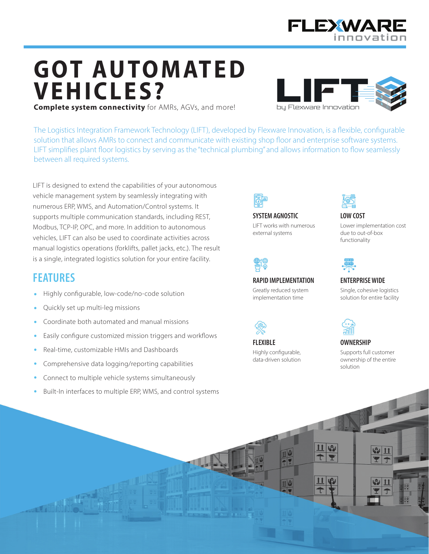

# **GOT AUTOMATED VEHICLES? Complete system connectivity** for AMRs, AGVs, and more!

bu Flexware Innovation

The Logistics Integration Framework Technology (LIFT), developed by Flexware Innovation, is a flexible, configurable solution that allows AMRs to connect and communicate with existing shop floor and enterprise software systems. LIFT simplifies plant floor logistics by serving as the "technical plumbing" and allows information to flow seamlessly between all required systems.

LIFT is designed to extend the capabilities of your autonomous vehicle management system by seamlessly integrating with numerous ERP, WMS, and Automation/Control systems. It supports multiple communication standards, including REST, Modbus, TCP-IP, OPC, and more. In addition to autonomous vehicles. LIFT can also be used to coordinate activities across manual logistics operations (forklifts, pallet jacks, etc.). The result is a single, integrated logistics solution for your entire facility.

#### **FEATURES**

- Highly configurable, low-code/no-code solution
- Quickly set up multi-leg missions
- Coordinate both automated and manual missions
- Easily configure customized mission triggers and workflows
- Real-time, customizable HMIs and Dashboards
- Comprehensive data logging/reporting capabilities
- Connect to multiple vehicle systems simultaneously  $\bullet$
- Built-In interfaces to multiple ERP, WMS, and control systems



**SYSTEM AGNOSTIC** LIFT works with numerous external systems



**RAPID IMPLEMENTATION** 

Greatly reduced system implementation time

**FLEXIBLE** 

Highly configurable, data-driven solution



**LOW COST** Lower implementation cost due to out-of-box functionality



**ENTERPRISE WIDE** 

Single, cohesive logistics solution for entire facility



#### **OWNERSHIP**

Supports full customer ownership of the entire solution